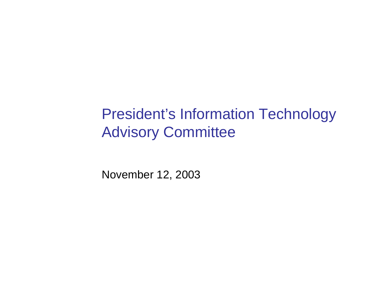#### President's Information Technology Advisory Committee

November 12, 2003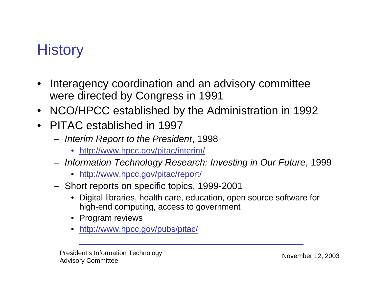# **History**

- $\bullet$  Interagency coordination and an advisory committee were directed by Congress in 1991
- NCO/HPCC established by the Administration in 1992
- PITAC established in 1997
	- – *Interim Report to the President*, 1998
		- •<http://www.hpcc.gov/pitac/interim/>
	- – *Information Technology Research: Investing in Our Future*, 1999
		- <http://www.hpcc.gov/pitac/report/>
	- – $-$  Short reports on specific topics, 1999-2001
		- • Digital libraries, health care, education, open source software for high-end computing, access to government
		- Program reviews
		- •<http://www.hpcc.gov/pubs/pitac/>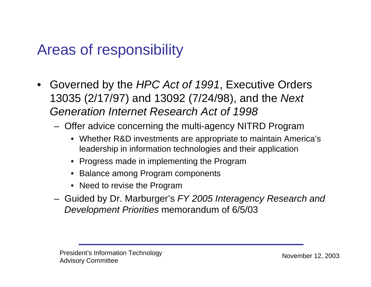## Areas of responsibility

- Governed by the *HPC Act of 1991*, Executive Orders 13035 (2/17/97) and 13092 (7/24/98), and the *Next Generation Internet Research Act of 1998*
	- Offer advice concerning the multi-agency NITRD Program
		- Whether R&D investments are appropriate to maintain America's leadership in information technologies and their application
		- Progress made in implementing the Program
		- •Balance among Program components
		- Need to revise the Program
	- Guided by Dr. Marburger's *FY 2005 Interagency Research and Development Priorities* memorandum of 6/5/03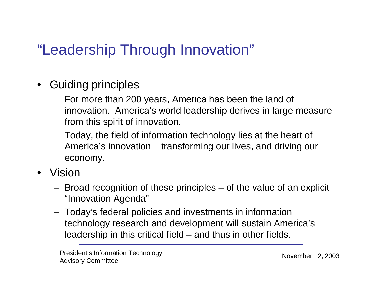# "Leadership Through Innovation"

- $\bullet$  Guiding principles
	- For more than 200 years, America has been the land of innovation. America's world leadership derives in large measure from this spirit of innovation.
	- Today, the field of information technology lies at the heart of America's innovation – transforming our lives, and driving our economy.
- Vision
	- Broad recognition of these principles of the value of an explicit "Innovation Agenda"
	- Today's federal policies and investments in information technology research and development will sustain America's leadership in this critical field – and thus in other fields.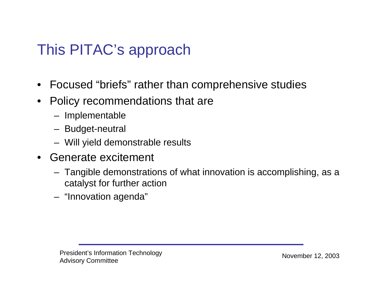# This PITAC's approach

- Focused "briefs" rather than comprehensive studies
- $\bullet$  Policy recommendations that are
	- Implementable
	- Budget-neutral
	- Will yield demonstrable results
- Generate excitement
	- Tangible demonstrations of what innovation is accomplishing, as a catalyst for further action
	- "Innovation agenda"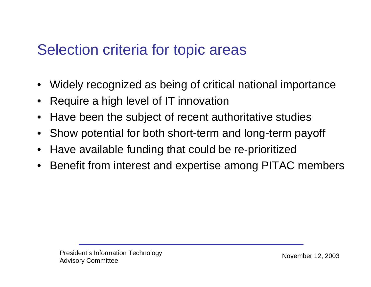#### Selection criteria for topic areas

- •Widely recognized as being of critical national importance
- $\bullet$ Require a high level of IT innovation
- •Have been the subject of recent authoritative studies
- •Show potential for both short-term and long-term payoff
- •Have available funding that could be re-prioritized
- •Benefit from interest and expertise among PITAC members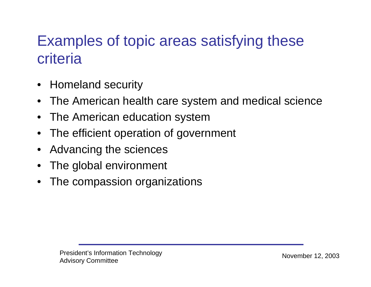# Examples of topic areas satisfying these criteria

- Homeland security
- •The American health care system and medical science
- •The American education system
- •The efficient operation of government
- •Advancing the sciences
- •The global environment
- •The compassion organizations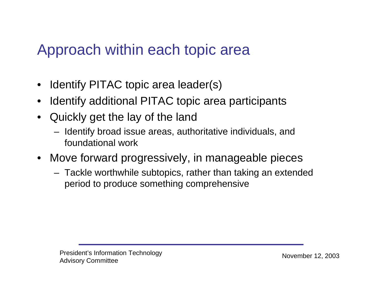### Approach within each topic area

- •Identify PITAC topic area leader(s)
- •Identify additional PITAC topic area participants
- • Quickly get the lay of the land
	- $-$  Identify broad issue areas, authoritative individuals, and foundational work
- Move forward progressively, in manageable pieces
	- Tackle worthwhile subtopics, rather than taking an extended period to produce something comprehensive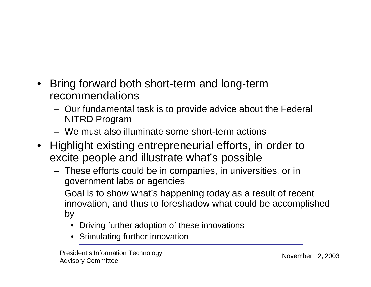- $\bullet$  Bring forward both short-term and long-term recommendations
	- Our fundamental task is to provide advice about the Federal NITRD Program
	- We must also illuminate some short-term actions
- Highlight existing entrepreneurial efforts, in order to excite people and illustrate what's possible
	- These efforts could be in companies, in universities, or in government labs or agencies
	- Goal is to show what's happening today as a result of recent innovation, and thus to foreshadow what could be accomplished by
		- •Driving further adoption of these innovations
		- Stimulating further innovation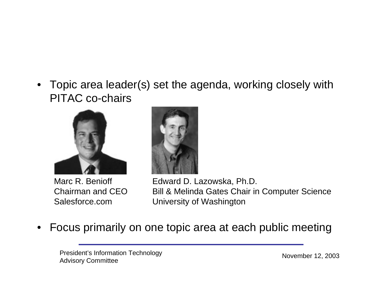• Topic area leader(s) set the agenda, working closely with PITAC co-chairs



Marc R. BenioffChairman and CEOSalesforce.com



Edward D. Lazowska, Ph.D. Bill & Melinda Gates Chair in Computer Science University of Washington

•Focus primarily on one topic area at each public meeting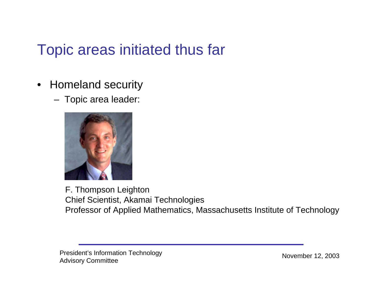## Topic areas initiated thus far

- Homeland security
	- Topic area leader:



F. Thompson Leighton Chief Scientist, Akamai Technologies Professor of Applied Mathematics, Massachusetts Institute of Technology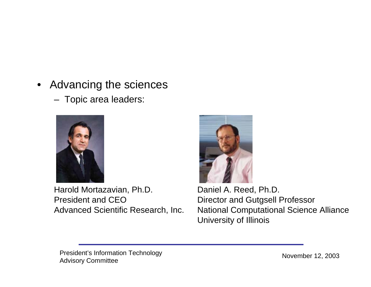- • Advancing the sciences
	- Topic area leaders:



Harold Mortazavian, Ph.D. President and CEOAdvanced Scientific Research, Inc.



Daniel A. Reed, Ph.D. Director and Gutgsell Professor National Computational Science Alliance University of Illinois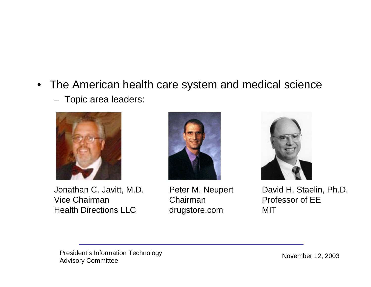• The American health care system and medical science





Jonathan C. Javitt, M.D. Vice ChairmanHealth Directions LLC



Peter M. Neupert Chairmandrugstore.com



David H. Staelin, Ph.D. Professor of EEMIT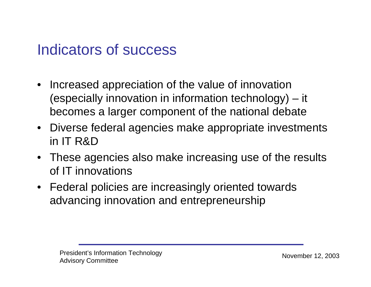#### Indicators of success

- Increased appreciation of the value of innovation (especially innovation in information technology) – it becomes a larger component of the national debate
- Diverse federal agencies make appropriate investments in IT R&D
- These agencies also make increasing use of the results of IT innovations
- Federal policies are increasingly oriented towards advancing innovation and entrepreneurship